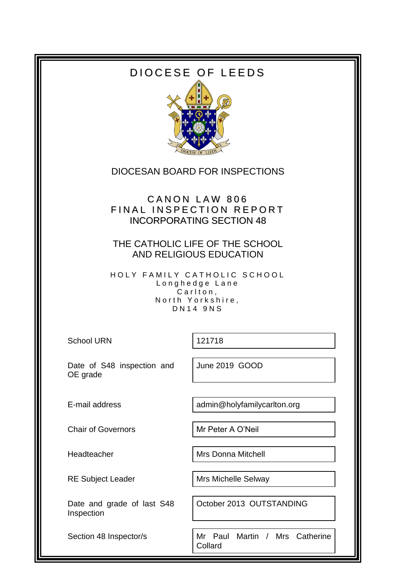# DIOCESE OF LEEDS



# DIOCESAN BOARD FOR INSPECTIONS

# CANON LAW 806 FINAL INSPECTION REPORT INCORPORATING SECTION 48

### THE CATHOLIC LIFE OF THE SCHOOL AND RELIGIOUS EDUCATION

HOLY FAMILY CATHOLIC SCHOOL Longhedge Lane Carlton, North Yorkshire, D N 1 4 9 N S

School URN 121718

Date of S48 inspection and OE grade

June 2019 GOOD

E-mail address and admin@holyfamilycarlton.org

Chair of Governors Mr Peter A O'Neil

Headteacher Mrs Donna Mitchell

RE Subject Leader Mrs Michelle Selway

Date and grade of last S48 Inspection

October 2013 OUTSTANDING

Section 48 Inspector/s **Mr** Paul Martin / Mrs Catherine Collard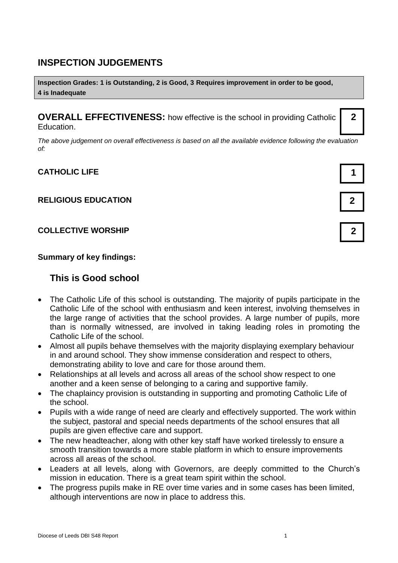### **INSPECTION JUDGEMENTS**

**Inspection Grades: 1 is Outstanding, 2 is Good, 3 Requires improvement in order to be good, 4 is Inadequate**

**OVERALL EFFECTIVENESS:** how effective is the school in providing Catholic Education.

*The above judgement on overall effectiveness is based on all the available evidence following the evaluation of:*

### **CATHOLIC LIFE 1**

#### **RELIGIOUS EDUCATION 2**

#### **COLLECTIVE WORSHIP 2**

#### **Summary of key findings:**

### **This is Good school**

- The Catholic Life of this school is outstanding. The majority of pupils participate in the Catholic Life of the school with enthusiasm and keen interest, involving themselves in the large range of activities that the school provides. A large number of pupils, more than is normally witnessed, are involved in taking leading roles in promoting the Catholic Life of the school.
- Almost all pupils behave themselves with the majority displaying exemplary behaviour in and around school. They show immense consideration and respect to others, demonstrating ability to love and care for those around them.
- Relationships at all levels and across all areas of the school show respect to one another and a keen sense of belonging to a caring and supportive family.
- The chaplaincy provision is outstanding in supporting and promoting Catholic Life of the school.
- Pupils with a wide range of need are clearly and effectively supported. The work within the subject, pastoral and special needs departments of the school ensures that all pupils are given effective care and support.
- The new headteacher, along with other key staff have worked tirelessly to ensure a smooth transition towards a more stable platform in which to ensure improvements across all areas of the school.
- Leaders at all levels, along with Governors, are deeply committed to the Church's mission in education. There is a great team spirit within the school.
- The progress pupils make in RE over time varies and in some cases has been limited, although interventions are now in place to address this.



**2**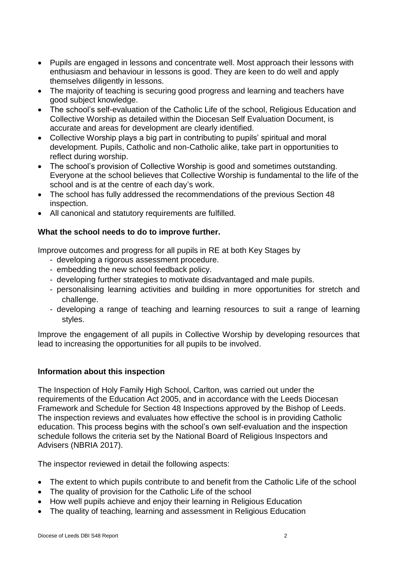- Pupils are engaged in lessons and concentrate well. Most approach their lessons with enthusiasm and behaviour in lessons is good. They are keen to do well and apply themselves diligently in lessons.
- The majority of teaching is securing good progress and learning and teachers have good subject knowledge.
- The school's self-evaluation of the Catholic Life of the school, Religious Education and Collective Worship as detailed within the Diocesan Self Evaluation Document, is accurate and areas for development are clearly identified.
- Collective Worship plays a big part in contributing to pupils' spiritual and moral development. Pupils, Catholic and non-Catholic alike, take part in opportunities to reflect during worship.
- The school's provision of Collective Worship is good and sometimes outstanding. Everyone at the school believes that Collective Worship is fundamental to the life of the school and is at the centre of each day's work.
- The school has fully addressed the recommendations of the previous Section 48 inspection.
- All canonical and statutory requirements are fulfilled.

### **What the school needs to do to improve further.**

Improve outcomes and progress for all pupils in RE at both Key Stages by

- developing a rigorous assessment procedure.
- embedding the new school feedback policy.
- developing further strategies to motivate disadvantaged and male pupils.
- personalising learning activities and building in more opportunities for stretch and challenge.
- developing a range of teaching and learning resources to suit a range of learning styles.

Improve the engagement of all pupils in Collective Worship by developing resources that lead to increasing the opportunities for all pupils to be involved.

#### **Information about this inspection**

The Inspection of Holy Family High School, Carlton, was carried out under the requirements of the Education Act 2005, and in accordance with the Leeds Diocesan Framework and Schedule for Section 48 Inspections approved by the Bishop of Leeds. The inspection reviews and evaluates how effective the school is in providing Catholic education. This process begins with the school's own self-evaluation and the inspection schedule follows the criteria set by the National Board of Religious Inspectors and Advisers (NBRIA 2017).

The inspector reviewed in detail the following aspects:

- The extent to which pupils contribute to and benefit from the Catholic Life of the school
- The quality of provision for the Catholic Life of the school
- How well pupils achieve and enjoy their learning in Religious Education
- The quality of teaching, learning and assessment in Religious Education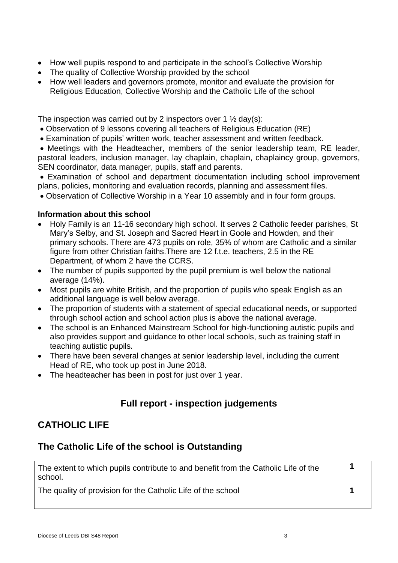- How well pupils respond to and participate in the school's Collective Worship
- The quality of Collective Worship provided by the school
- How well leaders and governors promote, monitor and evaluate the provision for Religious Education, Collective Worship and the Catholic Life of the school

The inspection was carried out by 2 inspectors over 1  $\frac{1}{2}$  day(s):

- Observation of 9 lessons covering all teachers of Religious Education (RE)
- Examination of pupils' written work, teacher assessment and written feedback.

 Meetings with the Headteacher, members of the senior leadership team, RE leader, pastoral leaders, inclusion manager, lay chaplain, chaplain, chaplaincy group, governors, SEN coordinator, data manager, pupils, staff and parents.

 Examination of school and department documentation including school improvement plans, policies, monitoring and evaluation records, planning and assessment files.

Observation of Collective Worship in a Year 10 assembly and in four form groups.

#### **Information about this school**

- Holy Family is an 11-16 secondary high school. It serves 2 Catholic feeder parishes, St Mary's Selby, and St. Joseph and Sacred Heart in Goole and Howden, and their primary schools. There are 473 pupils on role, 35% of whom are Catholic and a similar figure from other Christian faiths.There are 12 f.t.e. teachers, 2.5 in the RE Department, of whom 2 have the CCRS.
- The number of pupils supported by the pupil premium is well below the national average (14%).
- Most pupils are white British, and the proportion of pupils who speak English as an additional language is well below average.
- The proportion of students with a statement of special educational needs, or supported through school action and school action plus is above the national average.
- The school is an Enhanced Mainstream School for high-functioning autistic pupils and also provides support and guidance to other local schools, such as training staff in teaching autistic pupils.
- There have been several changes at senior leadership level, including the current Head of RE, who took up post in June 2018.
- The headteacher has been in post for just over 1 year.

# **Full report - inspection judgements**

# **CATHOLIC LIFE**

### **The Catholic Life of the school is Outstanding**

| The extent to which pupils contribute to and benefit from the Catholic Life of the<br>school. |  |
|-----------------------------------------------------------------------------------------------|--|
| The quality of provision for the Catholic Life of the school                                  |  |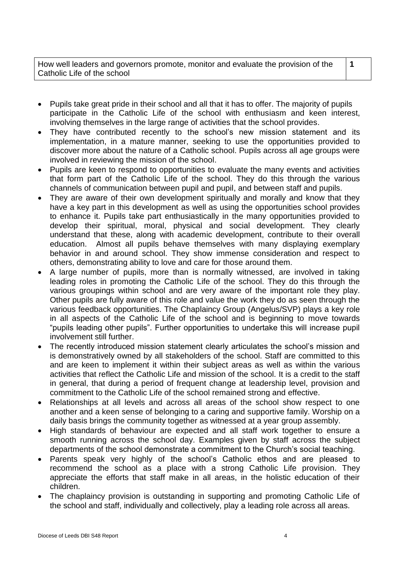- Pupils take great pride in their school and all that it has to offer. The majority of pupils participate in the Catholic Life of the school with enthusiasm and keen interest, involving themselves in the large range of activities that the school provides.
- They have contributed recently to the school's new mission statement and its implementation, in a mature manner, seeking to use the opportunities provided to discover more about the nature of a Catholic school. Pupils across all age groups were involved in reviewing the mission of the school.
- Pupils are keen to respond to opportunities to evaluate the many events and activities that form part of the Catholic Life of the school. They do this through the various channels of communication between pupil and pupil, and between staff and pupils.
- They are aware of their own development spiritually and morally and know that they have a key part in this development as well as using the opportunities school provides to enhance it. Pupils take part enthusiastically in the many opportunities provided to develop their spiritual, moral, physical and social development. They clearly understand that these, along with academic development, contribute to their overall education. Almost all pupils behave themselves with many displaying exemplary behavior in and around school. They show immense consideration and respect to others, demonstrating ability to love and care for those around them.
- A large number of pupils, more than is normally witnessed, are involved in taking leading roles in promoting the Catholic Life of the school. They do this through the various groupings within school and are very aware of the important role they play. Other pupils are fully aware of this role and value the work they do as seen through the various feedback opportunities. The Chaplaincy Group (Angelus/SVP) plays a key role in all aspects of the Catholic Life of the school and is beginning to move towards "pupils leading other pupils". Further opportunities to undertake this will increase pupil involvement still further.
- The recently introduced mission statement clearly articulates the school's mission and is demonstratively owned by all stakeholders of the school. Staff are committed to this and are keen to implement it within their subject areas as well as within the various activities that reflect the Catholic Life and mission of the school. It is a credit to the staff in general, that during a period of frequent change at leadership level, provision and commitment to the Catholic Life of the school remained strong and effective.
- Relationships at all levels and across all areas of the school show respect to one another and a keen sense of belonging to a caring and supportive family. Worship on a daily basis brings the community together as witnessed at a year group assembly.
- High standards of behaviour are expected and all staff work together to ensure a smooth running across the school day. Examples given by staff across the subject departments of the school demonstrate a commitment to the Church's social teaching.
- Parents speak very highly of the school's Catholic ethos and are pleased to recommend the school as a place with a strong Catholic Life provision. They appreciate the efforts that staff make in all areas, in the holistic education of their children.
- The chaplaincy provision is outstanding in supporting and promoting Catholic Life of the school and staff, individually and collectively, play a leading role across all areas.

**1**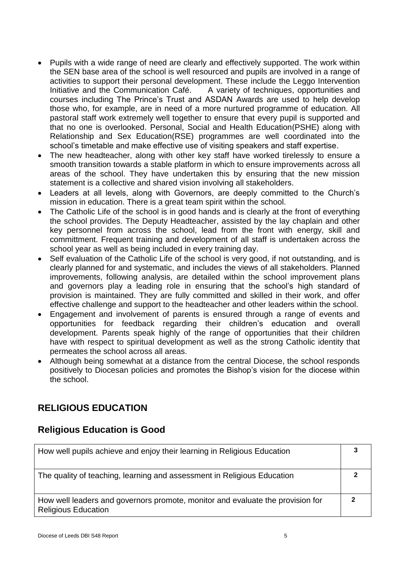- Pupils with a wide range of need are clearly and effectively supported. The work within the SEN base area of the school is well resourced and pupils are involved in a range of activities to support their personal development. These include the Leggo Intervention Initiative and the Communication Café. A variety of techniques, opportunities and courses including The Prince's Trust and ASDAN Awards are used to help develop those who, for example, are in need of a more nurtured programme of education. All pastoral staff work extremely well together to ensure that every pupil is supported and that no one is overlooked. Personal, Social and Health Education(PSHE) along with Relationship and Sex Education(RSE) programmes are well coordinated into the school's timetable and make effective use of visiting speakers and staff expertise.
- The new headteacher, along with other key staff have worked tirelessly to ensure a smooth transition towards a stable platform in which to ensure improvements across all areas of the school. They have undertaken this by ensuring that the new mission statement is a collective and shared vision involving all stakeholders.
- Leaders at all levels, along with Governors, are deeply committed to the Church's mission in education. There is a great team spirit within the school.
- The Catholic Life of the school is in good hands and is clearly at the front of everything the school provides. The Deputy Headteacher, assisted by the lay chaplain and other key personnel from across the school, lead from the front with energy, skill and committment. Frequent training and development of all staff is undertaken across the school year as well as being included in every training day.
- Self evaluation of the Catholic Life of the school is very good, if not outstanding, and is clearly planned for and systematic, and includes the views of all stakeholders. Planned improvements, following analysis, are detailed within the school improvement plans and governors play a leading role in ensuring that the school's high standard of provision is maintained. They are fully committed and skilled in their work, and offer effective challenge and support to the headteacher and other leaders within the school.
- Engagement and involvement of parents is ensured through a range of events and opportunities for feedback regarding their children's education and overall development. Parents speak highly of the range of opportunities that their children have with respect to spiritual development as well as the strong Catholic identity that permeates the school across all areas.
- Although being somewhat at a distance from the central Diocese, the school responds positively to Diocesan policies and promotes the Bishop's vision for the diocese within the school.

# **RELIGIOUS EDUCATION**

# **Religious Education is Good**

| How well pupils achieve and enjoy their learning in Religious Education                                      |  |
|--------------------------------------------------------------------------------------------------------------|--|
| The quality of teaching, learning and assessment in Religious Education                                      |  |
| How well leaders and governors promote, monitor and evaluate the provision for<br><b>Religious Education</b> |  |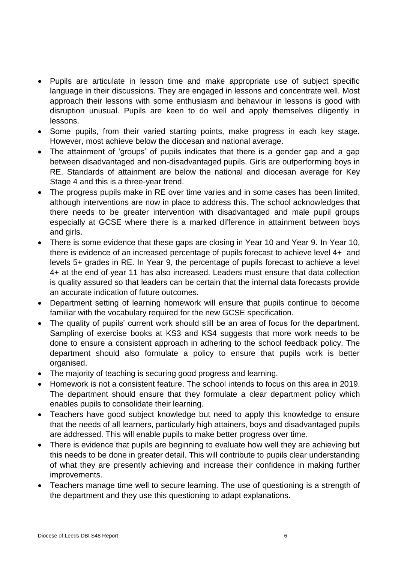- Pupils are articulate in lesson time and make appropriate use of subject specific language in their discussions. They are engaged in lessons and concentrate well. Most approach their lessons with some enthusiasm and behaviour in lessons is good with disruption unusual. Pupils are keen to do well and apply themselves diligently in lessons.
- Some pupils, from their varied starting points, make progress in each key stage. However, most achieve below the diocesan and national average.
- The attainment of 'groups' of pupils indicates that there is a gender gap and a gap between disadvantaged and non-disadvantaged pupils. Girls are outperforming boys in RE. Standards of attainment are below the national and diocesan average for Key Stage 4 and this is a three-year trend.
- The progress pupils make in RE over time varies and in some cases has been limited, although interventions are now in place to address this. The school acknowledges that there needs to be greater intervention with disadvantaged and male pupil groups especially at GCSE where there is a marked difference in attainment between boys and girls.
- There is some evidence that these gaps are closing in Year 10 and Year 9. In Year 10, there is evidence of an increased percentage of pupils forecast to achieve level 4+ and levels 5+ grades in RE. In Year 9, the percentage of pupils forecast to achieve a level 4+ at the end of year 11 has also increased. Leaders must ensure that data collection is quality assured so that leaders can be certain that the internal data forecasts provide an accurate indication of future outcomes.
- Department setting of learning homework will ensure that pupils continue to become familiar with the vocabulary required for the new GCSE specification.
- The quality of pupils' current work should still be an area of focus for the department. Sampling of exercise books at KS3 and KS4 suggests that more work needs to be done to ensure a consistent approach in adhering to the school feedback policy. The department should also formulate a policy to ensure that pupils work is better organised.
- The majority of teaching is securing good progress and learning.
- Homework is not a consistent feature. The school intends to focus on this area in 2019. The department should ensure that they formulate a clear department policy which enables pupils to consolidate their learning.
- Teachers have good subject knowledge but need to apply this knowledge to ensure that the needs of all learners, particularly high attainers, boys and disadvantaged pupils are addressed. This will enable pupils to make better progress over time.
- There is evidence that pupils are beginning to evaluate how well they are achieving but this needs to be done in greater detail. This will contribute to pupils clear understanding of what they are presently achieving and increase their confidence in making further improvements.
- Teachers manage time well to secure learning. The use of questioning is a strength of the department and they use this questioning to adapt explanations.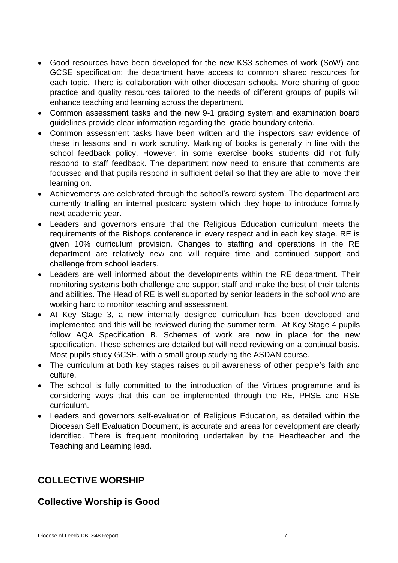- Good resources have been developed for the new KS3 schemes of work (SoW) and GCSE specification: the department have access to common shared resources for each topic. There is collaboration with other diocesan schools. More sharing of good practice and quality resources tailored to the needs of different groups of pupils will enhance teaching and learning across the department.
- Common assessment tasks and the new 9-1 grading system and examination board guidelines provide clear information regarding the grade boundary criteria.
- Common assessment tasks have been written and the inspectors saw evidence of these in lessons and in work scrutiny. Marking of books is generally in line with the school feedback policy. However, in some exercise books students did not fully respond to staff feedback. The department now need to ensure that comments are focussed and that pupils respond in sufficient detail so that they are able to move their learning on.
- Achievements are celebrated through the school's reward system. The department are currently trialling an internal postcard system which they hope to introduce formally next academic year.
- Leaders and governors ensure that the Religious Education curriculum meets the requirements of the Bishops conference in every respect and in each key stage. RE is given 10% curriculum provision. Changes to staffing and operations in the RE department are relatively new and will require time and continued support and challenge from school leaders.
- Leaders are well informed about the developments within the RE department. Their monitoring systems both challenge and support staff and make the best of their talents and abilities. The Head of RE is well supported by senior leaders in the school who are working hard to monitor teaching and assessment.
- At Key Stage 3, a new internally designed curriculum has been developed and implemented and this will be reviewed during the summer term. At Key Stage 4 pupils follow AQA Specification B. Schemes of work are now in place for the new specification. These schemes are detailed but will need reviewing on a continual basis. Most pupils study GCSE, with a small group studying the ASDAN course.
- The curriculum at both key stages raises pupil awareness of other people's faith and culture.
- The school is fully committed to the introduction of the Virtues programme and is considering ways that this can be implemented through the RE, PHSE and RSE curriculum.
- Leaders and governors self-evaluation of Religious Education, as detailed within the Diocesan Self Evaluation Document, is accurate and areas for development are clearly identified. There is frequent monitoring undertaken by the Headteacher and the Teaching and Learning lead.

# **COLLECTIVE WORSHIP**

# **Collective Worship is Good**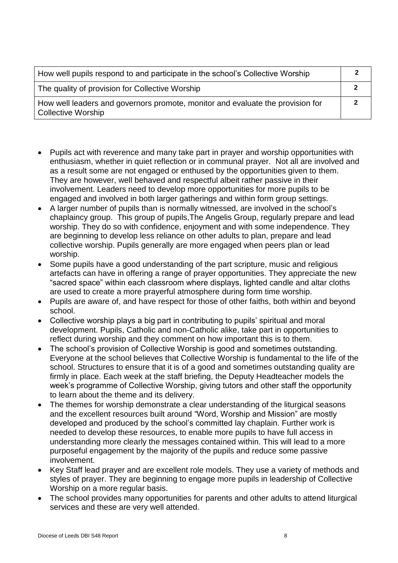| How well pupils respond to and participate in the school's Collective Worship                               |  |
|-------------------------------------------------------------------------------------------------------------|--|
| The quality of provision for Collective Worship                                                             |  |
| How well leaders and governors promote, monitor and evaluate the provision for<br><b>Collective Worship</b> |  |

- Pupils act with reverence and many take part in prayer and worship opportunities with enthusiasm, whether in quiet reflection or in communal prayer. Not all are involved and as a result some are not engaged or enthused by the opportunities given to them. They are however, well behaved and respectful albeit rather passive in their involvement. Leaders need to develop more opportunities for more pupils to be engaged and involved in both larger gatherings and within form group settings.
- A larger number of pupils than is normally witnessed, are involved in the school's chaplaincy group. This group of pupils,The Angelis Group, regularly prepare and lead worship. They do so with confidence, enjoyment and with some independence. They are beginning to develop less reliance on other adults to plan, prepare and lead collective worship. Pupils generally are more engaged when peers plan or lead worship.
- Some pupils have a good understanding of the part scripture, music and religious artefacts can have in offering a range of prayer opportunities. They appreciate the new "sacred space" within each classroom where displays, lighted candle and altar cloths are used to create a more prayerful atmosphere during form time worship.
- Pupils are aware of, and have respect for those of other faiths, both within and beyond school.
- Collective worship plays a big part in contributing to pupils' spiritual and moral development. Pupils, Catholic and non-Catholic alike, take part in opportunities to reflect during worship and they comment on how important this is to them.
- The school's provision of Collective Worship is good and sometimes outstanding. Everyone at the school believes that Collective Worship is fundamental to the life of the school. Structures to ensure that it is of a good and sometimes outstanding quality are firmly in place. Each week at the staff briefing, the Deputy Headteacher models the week's programme of Collective Worship, giving tutors and other staff the opportunity to learn about the theme and its delivery.
- The themes for worship demonstrate a clear understanding of the liturgical seasons and the excellent resources built around "Word, Worship and Mission" are mostly developed and produced by the school's committed lay chaplain. Further work is needed to develop these resources, to enable more pupils to have full access in understanding more clearly the messages contained within. This will lead to a more purposeful engagement by the majority of the pupils and reduce some passive involvement.
- Key Staff lead prayer and are excellent role models. They use a variety of methods and styles of prayer. They are beginning to engage more pupils in leadership of Collective Worship on a more regular basis.
- The school provides many opportunities for parents and other adults to attend liturgical services and these are very well attended.